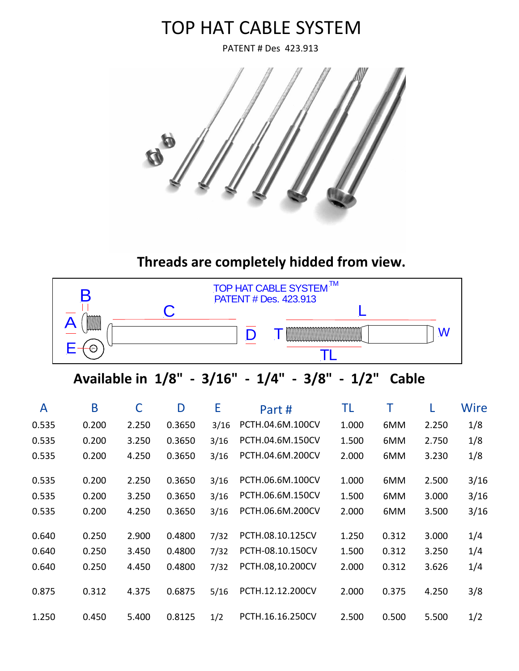# TOP HAT CABLE SYSTEM

PATENT # Des 423.913



 **Threads are completely hidded from view.**



## **Available in 1/8" - 3/16" - 1/4" - 3/8" - 1/2" Cable**

|       | B             |       |        |      | <b>TOP HAT CABLE SYSTEM</b><br><b>PATENT # Des. 423.913</b> | <b>TIAL</b> |       |       |      |
|-------|---------------|-------|--------|------|-------------------------------------------------------------|-------------|-------|-------|------|
|       | WWW<br>☺<br>г |       |        |      | $\mathsf{D}% _{T}$<br>TL                                    |             |       | W     |      |
|       |               |       |        |      | Available in 1/8" - 3/16" - 1/4" - 3/8"                     | $-1/2"$     | Cable |       |      |
| A     | B             | C     | D      | E    | Part#                                                       | TL          | Τ     |       | Wire |
| 0.535 | 0.200         | 2.250 | 0.3650 | 3/16 | PCTH.04.6M.100CV                                            | 1.000       | 6MM   | 2.250 | 1/8  |
| 0.535 | 0.200         | 3.250 | 0.3650 | 3/16 | PCTH.04.6M.150CV                                            | 1.500       | 6MM   | 2.750 | 1/8  |
| 0.535 | 0.200         | 4.250 | 0.3650 | 3/16 | PCTH.04.6M.200CV                                            | 2.000       | 6MM   | 3.230 | 1/8  |
| 0.535 | 0.200         | 2.250 | 0.3650 | 3/16 | PCTH.06.6M.100CV                                            | 1.000       | 6MM   | 2.500 | 3/16 |
| 0.535 | 0.200         | 3.250 | 0.3650 | 3/16 | PCTH.06.6M.150CV                                            | 1.500       | 6MM   | 3.000 | 3/16 |
| 0.535 | 0.200         | 4.250 | 0.3650 | 3/16 | PCTH.06.6M.200CV                                            | 2.000       | 6MM   | 3.500 | 3/16 |
| 0.640 | 0.250         | 2.900 | 0.4800 | 7/32 | PCTH.08.10.125CV                                            | 1.250       | 0.312 | 3.000 | 1/4  |
| 0.640 | 0.250         | 3.450 | 0.4800 | 7/32 | PCTH-08.10.150CV                                            | 1.500       | 0.312 | 3.250 | 1/4  |
| 0.640 | 0.250         | 4.450 | 0.4800 | 7/32 | PCTH.08,10.200CV                                            | 2.000       | 0.312 | 3.626 | 1/4  |
| 0.875 | 0.312         | 4.375 | 0.6875 | 5/16 | PCTH.12.12.200CV                                            | 2.000       | 0.375 | 4.250 | 3/8  |
| 1.250 | 0.450         | 5.400 | 0.8125 | 1/2  | PCTH.16.16.250CV                                            | 2.500       | 0.500 | 5.500 | 1/2  |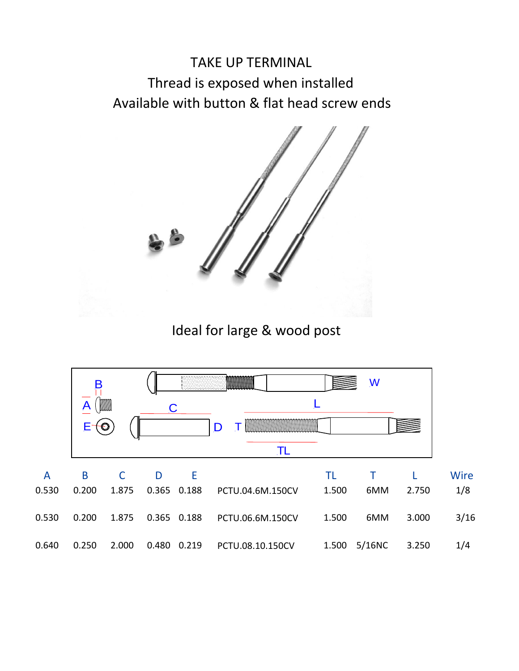# TAKE UP TERMINAL Thread is exposed when installed Available with button & flat head screw ends



Ideal for large & wood post

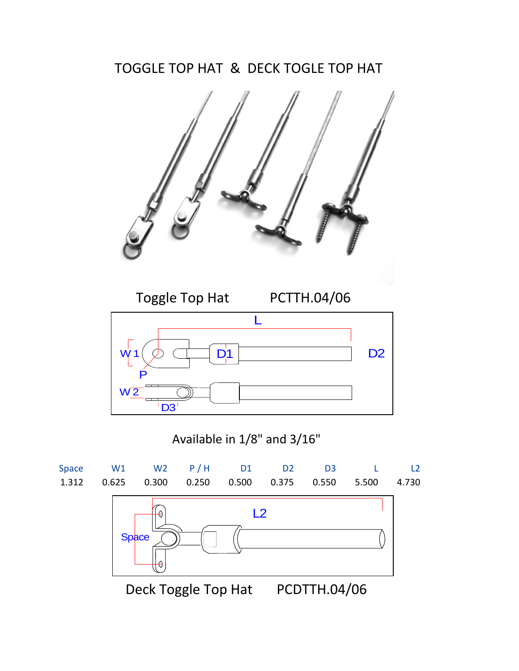### TOGGLE TOP HAT & DECK TOGLE TOP HAT





#### Available in 1/8" and 3/16"

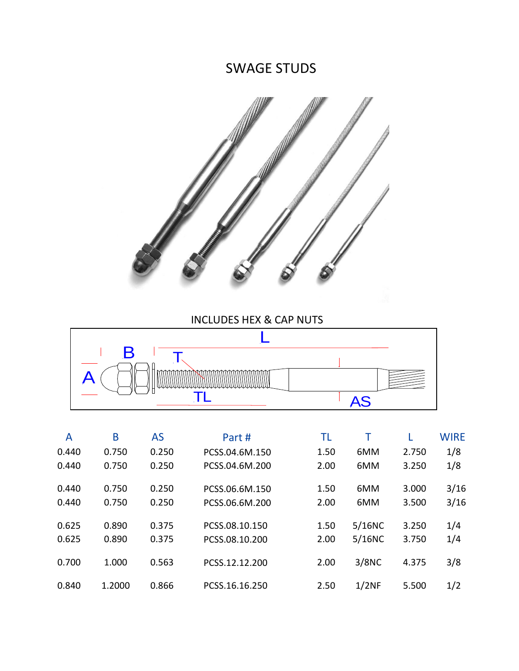#### SWAGE STUDS



#### INCLUDES HEX & CAP NUTS



| Α     | B      | <b>AS</b> | Part #         | TL   |        |       | <b>WIRE</b> |
|-------|--------|-----------|----------------|------|--------|-------|-------------|
| 0.440 | 0.750  | 0.250     | PCSS.04.6M.150 | 1.50 | 6MM    | 2.750 | 1/8         |
| 0.440 | 0.750  | 0.250     | PCSS.04.6M.200 | 2.00 | 6MM    | 3.250 | 1/8         |
| 0.440 | 0.750  | 0.250     | PCSS.06.6M.150 | 1.50 | 6MM    | 3.000 | 3/16        |
| 0.440 | 0.750  | 0.250     | PCSS.06.6M.200 | 2.00 | 6MM    | 3.500 | 3/16        |
| 0.625 | 0.890  | 0.375     | PCSS.08.10.150 | 1.50 | 5/16NC | 3.250 | 1/4         |
| 0.625 | 0.890  | 0.375     | PCSS.08.10.200 | 2.00 | 5/16NC | 3.750 | 1/4         |
| 0.700 | 1.000  | 0.563     | PCSS.12.12.200 | 2.00 | 3/8NC  | 4.375 | 3/8         |
| 0.840 | 1.2000 | 0.866     | PCSS.16.16.250 | 2.50 | 1/2NF  | 5.500 | 1/2         |